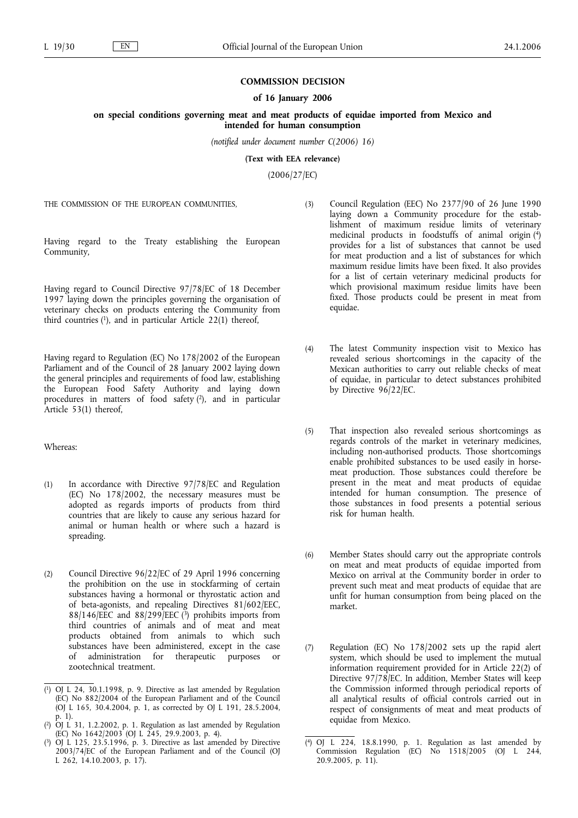## **COMMISSION DECISION**

## **of 16 January 2006**

**on special conditions governing meat and meat products of equidae imported from Mexico and intended for human consumption**

*(notified under document number C(2006) 16)*

**(Text with EEA relevance)**

(2006/27/EC)

THE COMMISSION OF THE EUROPEAN COMMUNITIES,

Having regard to the Treaty establishing the European Community,

Having regard to Council Directive 97/78/EC of 18 December 1997 laying down the principles governing the organisation of veterinary checks on products entering the Community from third countries  $(1)$ , and in particular Article 22 $(1)$  thereof,

Having regard to Regulation (EC) No 178/2002 of the European Parliament and of the Council of 28 January 2002 laying down the general principles and requirements of food law, establishing the European Food Safety Authority and laying down procedures in matters of food safety (2), and in particular Article 53(1) thereof,

## Whereas:

- (1) In accordance with Directive 97/78/EC and Regulation (EC) No 178/2002, the necessary measures must be adopted as regards imports of products from third countries that are likely to cause any serious hazard for animal or human health or where such a hazard is spreading.
- (2) Council Directive 96/22/EC of 29 April 1996 concerning the prohibition on the use in stockfarming of certain substances having a hormonal or thyrostatic action and of beta-agonists, and repealing Directives 81/602/EEC, 88/146/EEC and 88/299/EEC  $(3)$  prohibits imports from third countries of animals and of meat and meat products obtained from animals to which such substances have been administered, except in the case of administration for therapeutic purposes or zootechnical treatment.
- (3) Council Regulation (EEC) No 2377/90 of 26 June 1990 laying down a Community procedure for the establishment of maximum residue limits of veterinary medicinal products in foodstuffs of animal origin  $(4)$ provides for a list of substances that cannot be used for meat production and a list of substances for which maximum residue limits have been fixed. It also provides for a list of certain veterinary medicinal products for which provisional maximum residue limits have been fixed. Those products could be present in meat from equidae.
- (4) The latest Community inspection visit to Mexico has revealed serious shortcomings in the capacity of the Mexican authorities to carry out reliable checks of meat of equidae, in particular to detect substances prohibited by Directive 96/22/EC.
- (5) That inspection also revealed serious shortcomings as regards controls of the market in veterinary medicines, including non-authorised products. Those shortcomings enable prohibited substances to be used easily in horsemeat production. Those substances could therefore be present in the meat and meat products of equidae intended for human consumption. The presence of those substances in food presents a potential serious risk for human health.
- (6) Member States should carry out the appropriate controls on meat and meat products of equidae imported from Mexico on arrival at the Community border in order to prevent such meat and meat products of equidae that are unfit for human consumption from being placed on the market.
- (7) Regulation (EC) No 178/2002 sets up the rapid alert system, which should be used to implement the mutual information requirement provided for in Article 22(2) of Directive 97/78/EC. In addition, Member States will keep the Commission informed through periodical reports of all analytical results of official controls carried out in respect of consignments of meat and meat products of equidae from Mexico.

<sup>(</sup> 1) OJ L 24, 30.1.1998, p. 9. Directive as last amended by Regulation (EC) No 882/2004 of the European Parliament and of the Council (OJ L 165, 30.4.2004, p. 1, as corrected by OJ L 191, 28.5.2004, p. 1).

<sup>(</sup> 2) OJ L 31, 1.2.2002, p. 1. Regulation as last amended by Regulation (EC) No  $1642/2003$  (OJ L  $245$ , 29.9.2003, p. 4).

<sup>(</sup> OJ L 125, 23.5.1996, p. 3. Directive as last amended by Directive 2003/74/EC of the European Parliament and of the Council (OJ L  $262, 14.10.2003, p. 17$ .

<sup>(</sup> 4) OJ L 224, 18.8.1990, p. 1. Regulation as last amended by Commission Regulation (EC) No 1518/2005 (OJ L 244, 20.9.2005, p. 11).